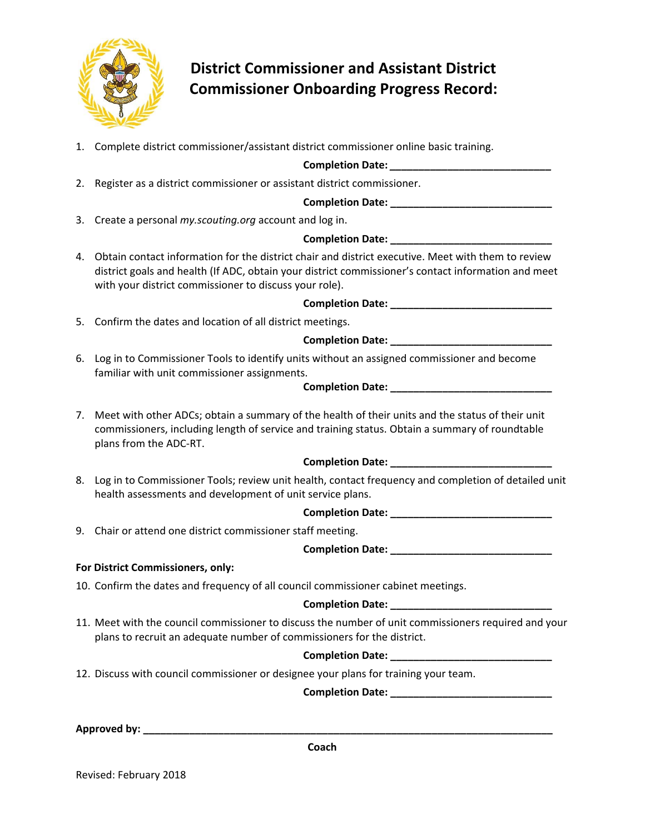

# **District Commissioner and Assistant District Commissioner Onboarding Progress Record:**

1. Complete district commissioner/assistant district commissioner online basic training.

## **Completion Date:** *\_\_\_\_\_\_\_\_\_\_\_\_\_\_\_\_\_\_\_\_\_\_\_\_\_\_\_\_*

2. Register as a district commissioner or assistant district commissioner.

## **Completion Date: \_\_\_\_\_\_\_\_\_\_\_\_\_\_\_\_\_\_\_\_\_\_\_\_\_\_\_\_**

3. Create a personal *my.scouting.org* account and log in.

## **Completion Date: \_\_\_\_\_\_\_\_\_\_\_\_\_\_\_\_\_\_\_\_\_\_\_\_\_\_\_\_**

4. Obtain contact information for the district chair and district executive. Meet with them to review district goals and health (If ADC, obtain your district commissioner's contact information and meet with your district commissioner to discuss your role).

**Completion Date: \_\_\_\_\_\_\_\_\_\_\_\_\_\_\_\_\_\_\_\_\_\_\_\_\_\_\_\_**

5. Confirm the dates and location of all district meetings.

## **Completion Date: \_\_\_\_\_\_\_\_\_\_\_\_\_\_\_\_\_\_\_\_\_\_\_\_\_\_\_\_**

6. Log in to Commissioner Tools to identify units without an assigned commissioner and become familiar with unit commissioner assignments.

## **Completion Date: \_\_\_\_\_\_\_\_\_\_\_\_\_\_\_\_\_\_\_\_\_\_\_\_\_\_\_\_**

7. Meet with other ADCs; obtain a summary of the health of their units and the status of their unit commissioners, including length of service and training status. Obtain a summary of roundtable plans from the ADC‐RT.

## **Completion Date: \_\_\_\_\_\_\_\_\_\_\_\_\_\_\_\_\_\_\_\_\_\_\_\_\_\_\_\_**

8. Log in to Commissioner Tools; review unit health, contact frequency and completion of detailed unit health assessments and development of unit service plans.

# **Completion Date: \_\_\_\_\_\_\_\_\_\_\_\_\_\_\_\_\_\_\_\_\_\_\_\_\_\_\_\_**

9. Chair or attend one district commissioner staff meeting.

# **Completion Date: \_\_\_\_\_\_\_\_\_\_\_\_\_\_\_\_\_\_\_\_\_\_\_\_\_\_\_\_**

## **For District Commissioners, only:**

10. Confirm the dates and frequency of all council commissioner cabinet meetings.

## **Completion Date:**  $\blacksquare$

11. Meet with the council commissioner to discuss the number of unit commissioners required and your plans to recruit an adequate number of commissioners for the district.

## **Completion Date: \_\_\_\_\_\_\_\_\_\_\_\_\_\_\_\_\_\_\_\_\_\_\_\_\_\_\_\_**

12. Discuss with council commissioner or designee your plans for training your team.

**Completion Date: \_\_\_\_\_\_\_\_\_\_\_\_\_\_\_\_\_\_\_\_\_\_\_\_\_\_\_\_**

**Approved by: \_\_\_\_\_\_\_\_\_\_\_\_\_\_\_\_\_\_\_\_\_\_\_\_\_\_\_\_\_\_\_\_\_\_\_\_\_\_\_\_\_\_\_\_\_\_\_\_\_\_\_\_\_\_\_\_\_\_\_\_\_\_\_\_\_\_\_\_\_\_\_** 

**Coach** 

Revised: February 2018